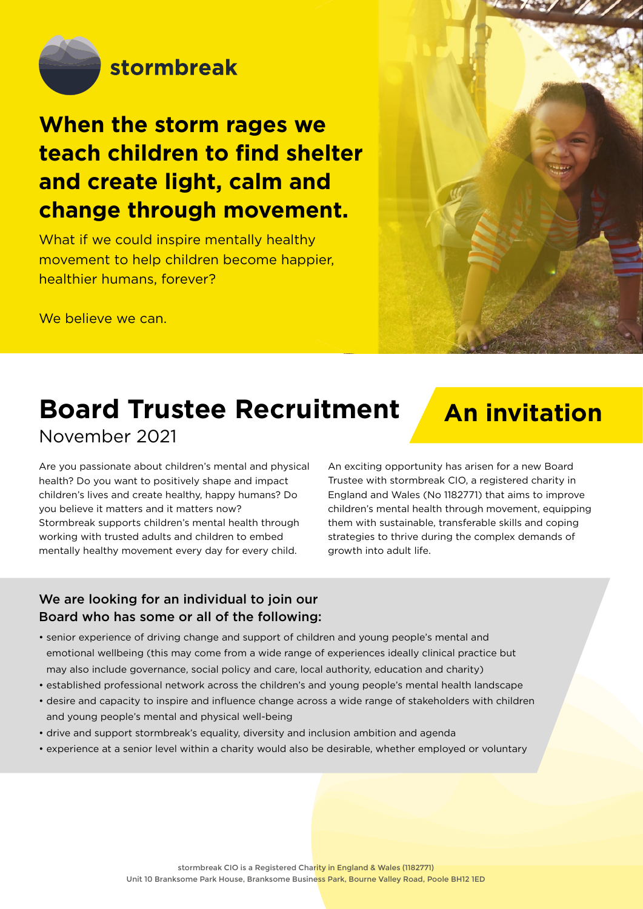

## **When the storm rages we teach children to find shelter and create light, calm and change through movement.**

What if we could inspire mentally healthy movement to help children become happier, healthier humans, forever?

We believe we can.



## **Board Trustee Recruitment** November 2021

# **An invitation**

Are you passionate about children's mental and physical health? Do you want to positively shape and impact children's lives and create healthy, happy humans? Do you believe it matters and it matters now? Stormbreak supports children's mental health through working with trusted adults and children to embed mentally healthy movement every day for every child.

An exciting opportunity has arisen for a new Board Trustee with stormbreak CIO, a registered charity in England and Wales (No 1182771) that aims to improve children's mental health through movement, equipping them with sustainable, transferable skills and coping strategies to thrive during the complex demands of growth into adult life.

### We are looking for an individual to join our Board who has some or all of the following:

- senior experience of driving change and support of children and young people's mental and emotional wellbeing (this may come from a wide range of experiences ideally clinical practice but may also include governance, social policy and care, local authority, education and charity)
- established professional network across the children's and young people's mental health landscape
- desire and capacity to inspire and influence change across a wide range of stakeholders with children and young people's mental and physical well-being
- drive and support stormbreak's equality, diversity and inclusion ambition and agenda
- experience at a senior level within a charity would also be desirable, whether employed or voluntary